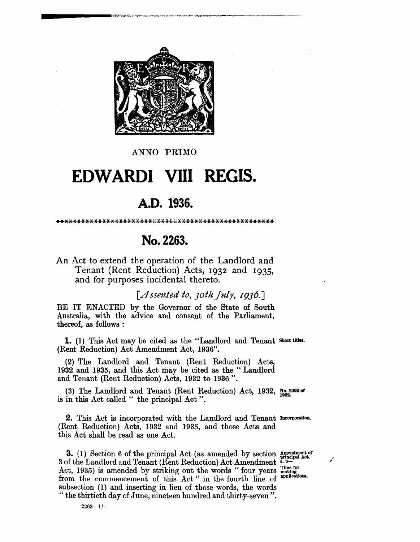

ANNO PRIMO

## EDWARDI VIII REGIS.

## A.D. 1936.

## No. 2263.

An Act to extend the operation of the Landlord and Tenant (Rent Reduction) Acts, 1932 and 1935. and for purposes incidental thereto.

[Assented to, 30th [uly, 1936.]

BE IT ENACTED by the Governor of the State of South Australia, with the advice and consent of the Parliament, thereof, as follows:

1. (1) This Act may be cited as the "Landlord and Tenant short titles. (Rent Reduction) Act Amendment Act, 1936".

(2) The Landlord and Tenant (Rent Reduction) Acts, 1932 and 1935, and this Act may be cited as the "Landlord and Tenant (Rent Reduction) Acts, 1932 to 1936".

(3) The Landlord and Tenant (Rent Reduction) Act, 1932,  $_{100}^{\text{No. 2092}}$  or is in this Act called " the principal Act".

2. This Act is incorporated with the Landlord and Tenant Incorporation. (Rent Reduction) Acts, 1932 and 1935, and those Acts and this Act shall be read as one Act.

3. (1) Section 6 of the principal Act (as amended by section Amendment of 3 of the Landlord and Tenant (Rent Reduction) Act Amendment 5.6-Act, 1935) is amended by striking out the words "four years making<br>from the commencement of this Act." in the fourth line of applications. from the commencement of this Act" in the fourth line of subsection (1) and inserting in lieu of those words, the words "the thirtieth day of June, nineteen hundred and thirty-seven".

 $2263 - 1/-$